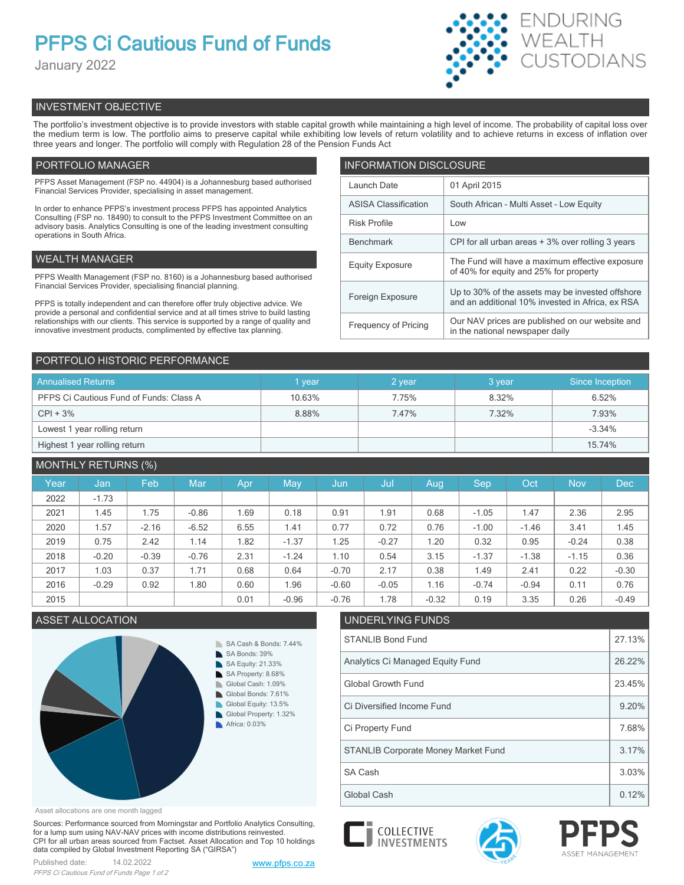# **PFPS Ci Cautious Fund of Funds**

January 2022



# INVESTMENT OBJECTIVE

The portfolio's investment objective is to provide investors with stable capital growth while maintaining a high level of income. The probability of capital loss over the medium term is low. The portfolio aims to preserve capital while exhibiting low levels of return volatility and to achieve returns in excess of inflation over three years and longer. The portfolio will comply with Regulation 28 of the Pension Funds Act

# PORTFOLIO MANAGER

PFPS Asset Management (FSP no. 44904) is a Johannesburg based authorised Financial Services Provider, specialising in asset management.

In order to enhance PFPS's investment process PFPS has appointed Analytics Consulting (FSP no. 18490) to consult to the PFPS Investment Committee on an advisory basis. Analytics Consulting is one of the leading investment consulting operations in South Africa.

# WEALTH MANAGER

PFPS Wealth Management (FSP no. 8160) is a Johannesburg based authorised Financial Services Provider, specialising financial planning.

PFPS is totally independent and can therefore offer truly objective advice. We provide a personal and confidential service and at all times strive to build lasting relationships with our clients. This service is supported by a range of quality and innovative investment products, complimented by effective tax planning.

| <b>INFORMATION DISCLOSURE</b> |                                                                                                      |  |  |  |  |
|-------------------------------|------------------------------------------------------------------------------------------------------|--|--|--|--|
| Launch Date                   | 01 April 2015                                                                                        |  |  |  |  |
| <b>ASISA Classification</b>   | South African - Multi Asset - Low Equity                                                             |  |  |  |  |
| <b>Risk Profile</b>           | Low                                                                                                  |  |  |  |  |
| <b>Benchmark</b>              | CPI for all urban areas + 3% over rolling 3 years                                                    |  |  |  |  |
| <b>Equity Exposure</b>        | The Fund will have a maximum effective exposure<br>of 40% for equity and 25% for property            |  |  |  |  |
| Foreign Exposure              | Up to 30% of the assets may be invested offshore<br>and an additional 10% invested in Africa, ex RSA |  |  |  |  |
| <b>Frequency of Pricing</b>   | Our NAV prices are published on our website and<br>in the national newspaper daily                   |  |  |  |  |

# PORTFOLIO HISTORIC PERFORMANCE

| <b>Annualised Returns</b>               | 1 year | 2 year | 3 year | Since Inception |
|-----------------------------------------|--------|--------|--------|-----------------|
| PFPS Ci Cautious Fund of Funds: Class A | 10.63% | 7.75%  | 8.32%  | 6.52%           |
| $CPI + 3%$                              | 8.88%  | 7.47%  | 7.32%  | 7.93%           |
| Lowest 1 year rolling return            |        |        |        | $-3.34%$        |
| Highest 1 year rolling return           |        |        |        | 15.74%          |

# MONTHLY RETURNS (%)

|      |         | $\sim$ $\sim$ $\sim$ |            |      |         |         |         |         |         |         |            |            |
|------|---------|----------------------|------------|------|---------|---------|---------|---------|---------|---------|------------|------------|
| Year | Jan     | Feb                  | <b>Mar</b> | Apr  | May     | Jun,    | Jul     | Aug     | Sep.    | Oct     | <b>Nov</b> | <b>Dec</b> |
| 2022 | $-1.73$ |                      |            |      |         |         |         |         |         |         |            |            |
| 2021 | 1.45    | 1.75                 | $-0.86$    | 1.69 | 0.18    | 0.91    | 1.91    | 0.68    | $-1.05$ | 1.47    | 2.36       | 2.95       |
| 2020 | 1.57    | $-2.16$              | $-6.52$    | 6.55 | 1.41    | 0.77    | 0.72    | 0.76    | $-1.00$ | $-1.46$ | 3.41       | 1.45       |
| 2019 | 0.75    | 2.42                 | 1.14       | 1.82 | $-1.37$ | 1.25    | $-0.27$ | 1.20    | 0.32    | 0.95    | $-0.24$    | 0.38       |
| 2018 | $-0.20$ | $-0.39$              | $-0.76$    | 2.31 | $-1.24$ | 1.10    | 0.54    | 3.15    | $-1.37$ | $-1.38$ | $-1.15$    | 0.36       |
| 2017 | 1.03    | 0.37                 | 1.71       | 0.68 | 0.64    | $-0.70$ | 2.17    | 0.38    | 1.49    | 2.41    | 0.22       | $-0.30$    |
| 2016 | $-0.29$ | 0.92                 | 1.80       | 0.60 | 1.96    | $-0.60$ | $-0.05$ | 1.16    | $-0.74$ | $-0.94$ | 0.11       | 0.76       |
| 2015 |         |                      |            | 0.01 | $-0.96$ | $-0.76$ | 1.78    | $-0.32$ | 0.19    | 3.35    | 0.26       | $-0.49$    |



Asset allocations are one month lagged

Sources: Performance sourced from Morningstar and Portfolio Analytics Consulting, for a lump sum using NAV-NAV prices with income distributions reinvested. CPI for all urban areas sourced from Factset. Asset Allocation and Top 10 holdings data compiled by Global Investment Reporting SA ("GIRSA")



Global Cash **1.12%** Clobal Cash **1.12%**